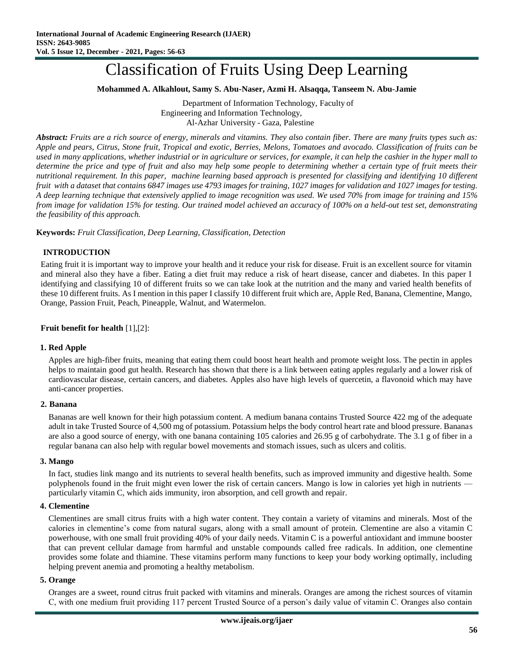# Classification of Fruits Using Deep Learning

### **Mohammed A. Alkahlout, Samy S. Abu-Naser, Azmi H. Alsaqqa, Tanseem N. Abu-Jamie**

Department of Information Technology, Faculty of Engineering and Information Technology, Al-Azhar University - Gaza, Palestine

*Abstract: Fruits are a rich source of energy, minerals and vitamins. They also contain fiber. There are many fruits types such as: Apple and pears, Citrus, Stone fruit, Tropical and exotic, Berries, Melons, Tomatoes and avocado. Classification of fruits can be used in many applications, whether industrial or in agriculture or services, for example, it can help the cashier in the hyper mall to determine the price and type of fruit and also may help some people to determining whether a certain type of fruit meets their nutritional requirement. In this paper, machine learning based approach is presented for classifying and identifying 10 different fruit with a dataset that contains 6847 images use 4793 images for training, 1027 images for validation and 1027 images for testing. A deep learning technique that extensively applied to image recognition was used. We used 70% from image for training and 15% from image for validation 15% for testing. Our trained model achieved an accuracy of 100% on a held-out test set, demonstrating the feasibility of this approach.*

**Keywords:** *Fruit Classification, Deep Learning, Classification, Detection*

#### **INTRODUCTION**

Eating fruit it is important way to improve your health and it reduce your risk for disease. Fruit is an excellent source for vitamin and mineral also they have a fiber. Eating a diet fruit may reduce a risk of heart disease, cancer and diabetes. In this paper I identifying and classifying 10 of different fruits so we can take look at the nutrition and the many and varied health benefits of these 10 different fruits. As I mention in this paper I classify 10 different fruit which are, Apple Red, Banana, Clementine, Mango, Orange, Passion Fruit, Peach, Pineapple, Walnut, and Watermelon.

### **Fruit benefit for health** [1],[2]:

#### **1. Red Apple**

Apples are high-fiber fruits, meaning that eating them could boost heart health and promote weight loss. The pectin in apples helps to maintain good gut health. Research has shown that there is a link between eating apples regularly and a lower risk of cardiovascular disease, certain cancers, and diabetes. Apples also have high levels of quercetin, a flavonoid which may have anti-cancer properties.

#### **2. Banana**

Bananas are well known for their high potassium content. A medium banana contains Trusted Source 422 mg of the adequate adult in take Trusted Source of 4,500 mg of potassium. Potassium helps the body control heart rate and blood pressure. Bananas are also a good source of energy, with one banana containing 105 calories and 26.95 g of carbohydrate. The 3.1 g of fiber in a regular banana can also help with regular bowel movements and stomach issues, such as ulcers and colitis.

#### **3. Mango**

In fact, studies link mango and its nutrients to several health benefits, such as improved immunity and digestive health. Some polyphenols found in the fruit might even lower the risk of certain cancers. Mango is low in calories yet high in nutrients particularly vitamin C, which aids immunity, iron absorption, and cell growth and repair.

#### **4. Clementine**

Clementines are small citrus fruits with a high water content. They contain a variety of vitamins and minerals. Most of the calories in clementine's come from natural sugars, along with a small amount of protein. Clementine are also a vitamin C powerhouse, with one small fruit providing 40% of your daily needs. Vitamin C is a powerful antioxidant and immune booster that can prevent cellular damage from harmful and unstable compounds called free radicals. In addition, one clementine provides some folate and thiamine. These vitamins perform many functions to keep your body working optimally, including helping prevent anemia and promoting a healthy metabolism.

#### **5. Orange**

Oranges are a sweet, round citrus fruit packed with vitamins and minerals. Oranges are among the richest sources of vitamin C, with one medium fruit providing 117 percent Trusted Source of a person's daily value of vitamin C. Oranges also contain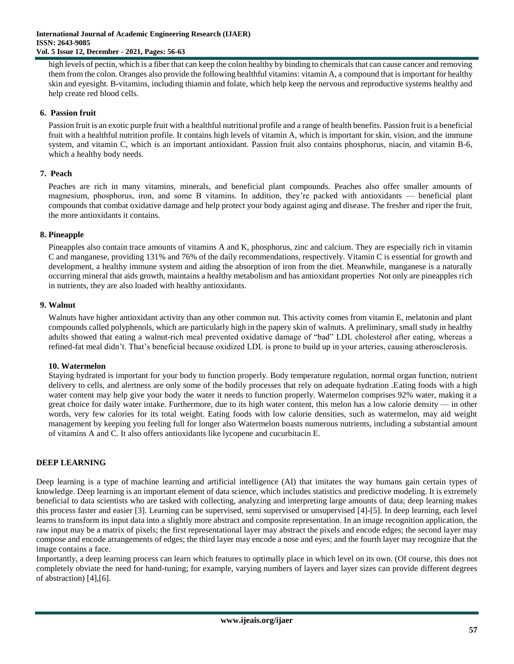high levels of pectin, which is a fiber that can keep the colon healthy by binding to chemicals that can cause cancer and removing them from the colon. Oranges also provide the following healthful vitamins: vitamin A, a compound that is important for healthy skin and eyesight. B-vitamins, including thiamin and folate, which help keep the nervous and reproductive systems healthy and help create red blood cells.

# **6. Passion fruit**

Passion fruit is an exotic purple fruit with a healthful nutritional profile and a range of health benefits. Passion fruit is a beneficial fruit with a healthful nutrition profile. It contains high levels of vitamin A, which is important for skin, vision, and the immune system, and vitamin C, which is an important antioxidant. Passion fruit also contains phosphorus, niacin, and vitamin B-6, which a healthy body needs.

# **7. Peach**

Peaches are rich in many vitamins, minerals, and beneficial plant compounds. Peaches also offer smaller amounts of magnesium, phosphorus, iron, and some B vitamins. In addition, they're packed with antioxidants — beneficial plant compounds that combat oxidative damage and help protect your body against aging and disease. The fresher and riper the fruit, the more antioxidants it contains.

# **8. Pineapple**

Pineapples also contain trace amounts of vitamins A and K, phosphorus, zinc and calcium. They are especially rich in vitamin C and manganese, providing 131% and 76% of the daily recommendations, respectively. Vitamin C is essential for growth and development, a healthy immune system and aiding the absorption of iron from the diet. Meanwhile, manganese is a naturally occurring mineral that aids growth, maintains a healthy metabolism and has antioxidant properties Not only are pineapples rich in nutrients, they are also loaded with healthy antioxidants.

# **9. Walnut**

Walnuts have higher antioxidant activity than any other common nut. This activity comes from vitamin E, melatonin and plant compounds called polyphenols, which are particularly high in the papery skin of walnuts. A preliminary, small study in healthy adults showed that eating a walnut-rich meal prevented oxidative damage of "bad" LDL cholesterol after eating, whereas a refined-fat meal didn't. That's beneficial because oxidized LDL is prone to build up in your arteries, causing atherosclerosis.

# **10. Watermelon**

Staying hydrated is important for your body to function properly. Body temperature regulation, normal organ function, nutrient delivery to cells, and alertness are only some of the bodily processes that rely on adequate hydration .Eating foods with a high water content may help give your body the water it needs to function properly. Watermelon comprises 92% water, making it a great choice for daily water intake. Furthermore, due to its high water content, this melon has a low calorie density — in other words, very few calories for its total weight. Eating foods with low calorie densities, such as watermelon, may aid weight management by keeping you feeling full for longer also Watermelon boasts numerous nutrients, including a substantial amount of vitamins A and C. It also offers antioxidants like lycopene and cucurbitacin E.

# **DEEP LEARNING**

Deep learning is a type of [machine learning](https://www.techtarget.com/searchenterpriseai/definition/machine-learning-ML) and artificial intelligence [\(AI\)](https://www.techtarget.com/searchenterpriseai/definition/AI-Artificial-Intelligence) that imitates the way humans gain certain types of knowledge. Deep learning is an important element of data science, which includes statistics and [predictive modeling.](https://www.techtarget.com/searchenterpriseai/definition/predictive-modeling) It is extremely beneficial to data scientists who are tasked with collecting, analyzing and interpreting large amounts of data; deep learning makes this process faster and easier [3]. Learning can be supervised, semi supervised or unsupervised [4]-[5]. In deep learning, each level learns to transform its input data into a slightly more abstract and composite representation. In an image recognition application, the raw input may be a matrix of pixels; the first representational layer may abstract the pixels and encode edges; the second layer may compose and encode arrangements of edges; the third layer may encode a nose and eyes; and the fourth layer may recognize that the image contains a face.

Importantly, a deep learning process can learn which features to optimally place in which level on its own. (Of course, this does not completely obviate the need for hand-tuning; for example, varying numbers of layers and layer sizes can provide different degrees of abstraction) [4],[6].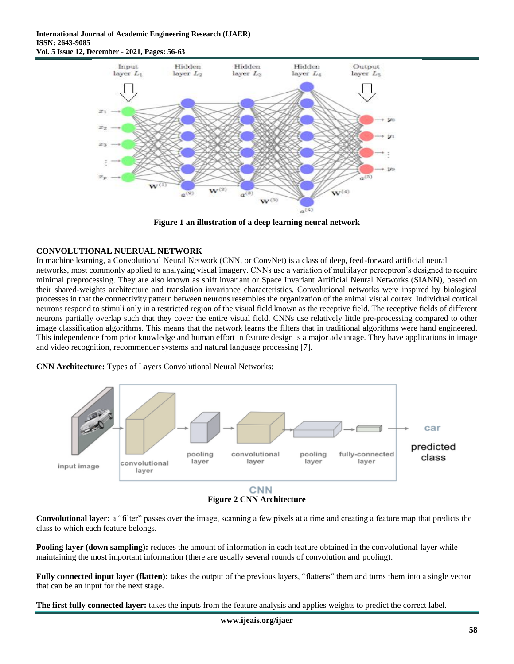

**Figure 1 an illustration of a deep learning neural network**

# **CONVOLUTIONAL NUERUAL NETWORK**

In machine learning, a Convolutional Neural Network (CNN, or ConvNet) is a class of deep, feed-forward artificial neural networks, most commonly applied to analyzing visual imagery. CNNs use a variation of multilayer perceptron's designed to require minimal preprocessing. They are also known as shift invariant or Space Invariant Artificial Neural Networks (SIANN), based on their shared-weights architecture and translation invariance characteristics. Convolutional networks were inspired by biological processes in that the connectivity pattern between neurons resembles the organization of the animal visual cortex. Individual cortical neurons respond to stimuli only in a restricted region of the visual field known as the receptive field. The receptive fields of different neurons partially overlap such that they cover the entire visual field. CNNs use relatively little pre-processing compared to other image classification algorithms. This means that the network learns the filters that in traditional algorithms were hand engineered. This independence from prior knowledge and human effort in feature design is a major advantage. They have applications in image and video recognition, recommender systems and natural language processing [7].





**Figure 2 CNN Architecture**

**Convolutional layer:** a "filter" passes over the image, scanning a few pixels at a time and creating a feature map that predicts the class to which each feature belongs.

**Pooling layer (down sampling):** reduces the amount of information in each feature obtained in the convolutional layer while maintaining the most important information (there are usually several rounds of convolution and pooling).

**Fully connected input layer (flatten):** takes the output of the previous layers, "flattens" them and turns them into a single vector that can be an input for the next stage.

**The first fully connected layer:** takes the inputs from the feature analysis and applies weights to predict the correct label.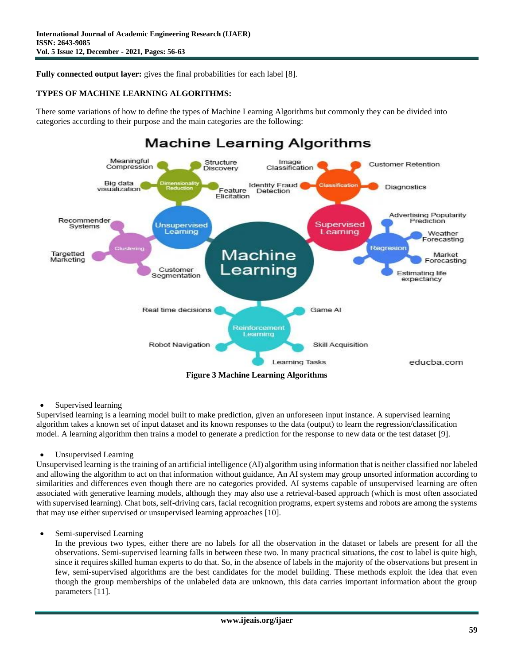Fully connected output layer: gives the final probabilities for each label [8].

# **TYPES OF MACHINE LEARNING ALGORITHMS:**

There some variations of how to define the types of Machine Learning Algorithms but commonly they can be divided into categories according to their purpose and the main categories are the following:



• Supervised learning

Supervised learning is a learning model built to make prediction, given an unforeseen input instance. A supervised learning algorithm takes a known set of input dataset and its known responses to the data (output) to learn the regression/classification model. A learning algorithm then trains a model to generate a prediction for the response to new data or the test dataset [9].

Unsupervised Learning

Unsupervised learning is the training of an artificial intelligence (AI) algorithm using information that is neither classified nor labeled and allowing the algorithm to act on that information without guidance, An AI system may group unsorted information according to similarities and differences even though there are no categories provided. AI systems capable of unsupervised learning are often associated with generative learning models, although they may also use a retrieval-based approach (which is most often associated with supervised learning). Chat bots, self-driving cars, facial recognition programs, expert systems and robots are among the systems that may use either supervised or unsupervised learning approaches [10].

Semi-supervised Learning

In the previous two types, either there are no labels for all the observation in the dataset or labels are present for all the observations. Semi-supervised learning falls in between these two. In many practical situations, the cost to label is quite high, since it requires skilled human experts to do that. So, in the absence of labels in the majority of the observations but present in few, semi-supervised algorithms are the best candidates for the model building. These methods exploit the idea that even though the group memberships of the unlabeled data are unknown, this data carries important information about the group parameters [11].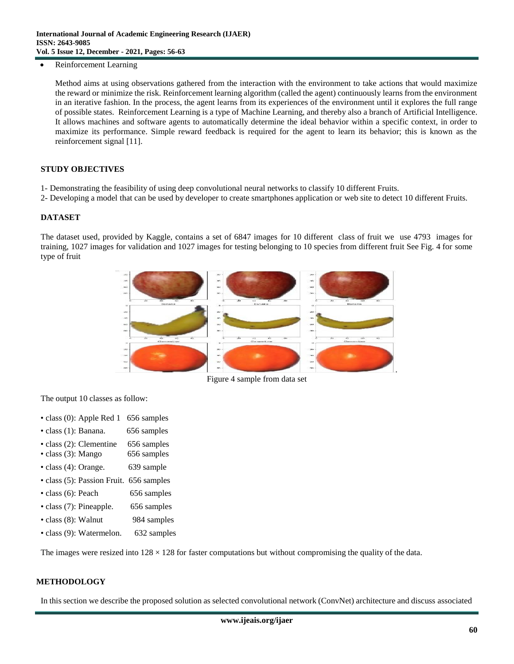Reinforcement Learning

Method aims at using observations gathered from the interaction with the environment to take actions that would maximize the reward or minimize the risk. Reinforcement learning algorithm (called the agent) continuously learns from the environment in an iterative fashion. In the process, the agent learns from its experiences of the environment until it explores the full range of possible states. Reinforcement Learning is a type of Machine Learning, and thereby also a branch of Artificial Intelligence. It allows machines and software agents to automatically determine the ideal behavior within a specific context, in order to maximize its performance. Simple reward feedback is required for the agent to learn its behavior; this is known as the reinforcement signal [11].

#### **STUDY OBJECTIVES**

- 1- Demonstrating the feasibility of using deep convolutional neural networks to classify 10 different Fruits.
- 2- Developing a model that can be used by developer to create smartphones application or web site to detect 10 different Fruits.

#### **DATASET**

The dataset used, provided by Kaggle, contains a set of 6847 images for 10 different class of fruit we use 4793 images for training, 1027 images for validation and 1027 images for testing belonging to 10 species from different fruit See Fig. 4 for some type of fruit



Figure 4 sample from data set

The output 10 classes as follow:

- class (0): Apple Red 1 656 samples
- class (1): Banana. 656 samples
- class (2): Clementine 656 samples
- class (3): Mango 656 samples
- class (4): Orange. 639 sample
- class (5): Passion Fruit. 656 samples
- class (6): Peach 656 samples
- class (7): Pineapple. 656 samples
- class (8): Walnut 984 samples
- class (9): Watermelon. 632 samples

The images were resized into  $128 \times 128$  for faster computations but without compromising the quality of the data.

#### **METHODOLOGY**

In this section we describe the proposed solution as selected convolutional network (ConvNet) architecture and discuss associated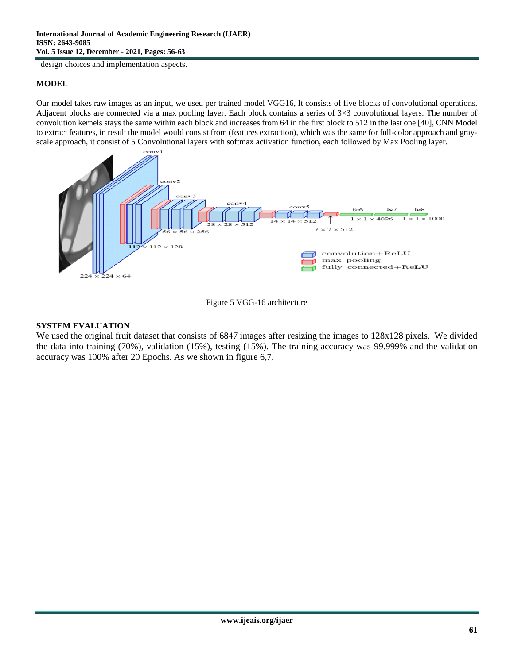design choices and implementation aspects.

# **MODEL**

Our model takes raw images as an input, we used per trained model VGG16, It consists of five blocks of convolutional operations. Adjacent blocks are connected via a max pooling layer. Each block contains a series of  $3\times3$  convolutional layers. The number of convolution kernels stays the same within each block and increases from 64 in the first block to 512 in the last one [40], CNN Model to extract features, in result the model would consist from (features extraction), which was the same for full-color approach and grayscale approach, it consist of 5 Convolutional layers with softmax activation function, each followed by Max Pooling layer.





# **SYSTEM EVALUATION**

We used the original fruit dataset that consists of 6847 images after resizing the images to 128x128 pixels. We divided the data into training (70%), validation (15%), testing (15%). The training accuracy was 99.999% and the validation accuracy was 100% after 20 Epochs. As we shown in figure 6,7.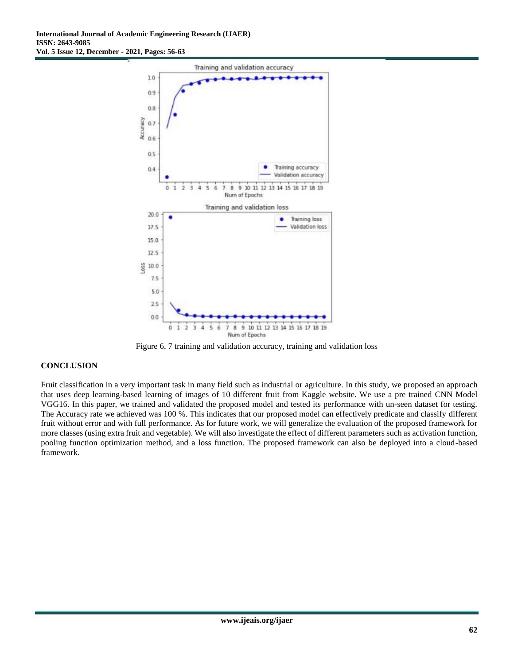

Figure 6, 7 training and validation accuracy, training and validation loss

# **CONCLUSION**

Fruit classification in a very important task in many field such as industrial or agriculture. In this study, we proposed an approach that uses deep learning-based learning of images of 10 different fruit from Kaggle website. We use a pre trained CNN Model VGG16. In this paper, we trained and validated the proposed model and tested its performance with un-seen dataset for testing. The Accuracy rate we achieved was 100 %. This indicates that our proposed model can effectively predicate and classify different fruit without error and with full performance. As for future work, we will generalize the evaluation of the proposed framework for more classes (using extra fruit and vegetable). We will also investigate the effect of different parameters such as activation function, pooling function optimization method, and a loss function. The proposed framework can also be deployed into a cloud-based framework.